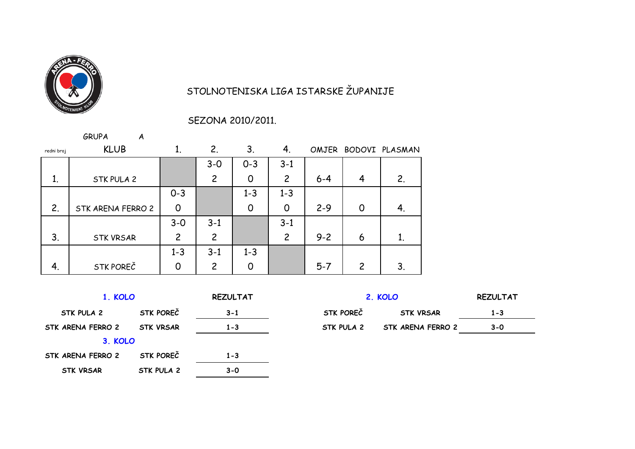

## STOLNOTENISKA LIGA ISTARSKE ŽUPANIJE

## SEZONA 2010/2011.

|            | <b>GRUPA</b><br>A |                |                |                |                |         |                |                      |
|------------|-------------------|----------------|----------------|----------------|----------------|---------|----------------|----------------------|
| redni broj | <b>KLUB</b>       | 1.             | 2.             | 3 <sub>1</sub> | 4.             |         |                | OMJER BODOVI PLASMAN |
|            |                   |                | $3 - 0$        | $0 - 3$        | $3 - 1$        |         |                |                      |
| 1.         | STK PULA 2        |                | $\overline{c}$ | 0              | $\overline{c}$ | $6 - 4$ | 4              | 2.                   |
|            |                   | $0 - 3$        |                | $1 - 3$        | $1 - 3$        |         |                |                      |
| 2.         | STK ARENA FERRO 2 | $\overline{0}$ |                | $\Omega$       | 0              | $2 - 9$ | $\overline{0}$ | 4.                   |
|            |                   | $3 - 0$        | $3 - 1$        |                | $3 - 1$        |         |                |                      |
| 3.         | <b>STK VRSAR</b>  | $\overline{c}$ | $\overline{2}$ |                | $\overline{c}$ | $9 - 2$ | 6              | 1.                   |
|            |                   | $1 - 3$        | $3 - 1$        | $1 - 3$        |                |         |                |                      |
| 4.         | STK POREČ         | $\Omega$       | $\overline{c}$ | Ω              |                | $5 - 7$ | 2              | 3.                   |

| 1. KOLO           |                  | <b>REZULTAT</b> |            | 2. KOLO           | <b>REZULTAT</b> |
|-------------------|------------------|-----------------|------------|-------------------|-----------------|
| STK PULA 2        | STK POREČ        | $3 - 1$         | STK POREČ  | <b>STK VRSAR</b>  | $1 - 3$         |
| STK ARENA FERRO 2 | <b>STK VRSAR</b> | $1 - 3$         | STK PULA 2 | STK ARENA FERRO 2 | $3 - 0$         |
| 3. KOLO           |                  |                 |            |                   |                 |
| STK ARENA FERRO 2 | STK POREČ        | $1 - 3$         |            |                   |                 |
| <b>STK VRSAR</b>  | STK PULA 2       | $3 - 0$         |            |                   |                 |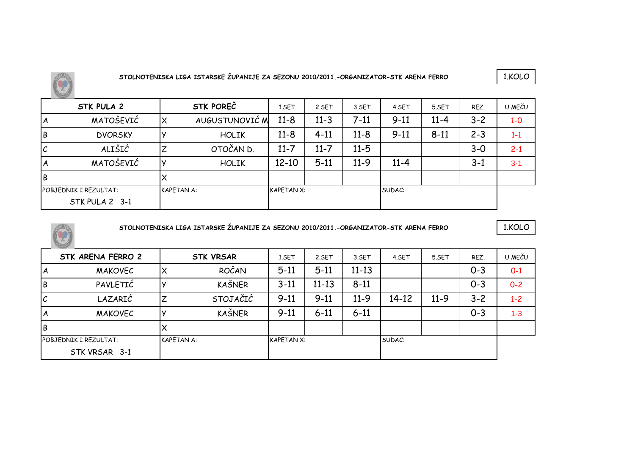

1.KOLO

|    | STK PULA 2                   |                   | <b>STK POREČ</b> | 1.SET             | 2.SET    | 3.SET    | 4.SET    | 5.SET    | REZ.    | U MEČU  |
|----|------------------------------|-------------------|------------------|-------------------|----------|----------|----------|----------|---------|---------|
| IΑ | MATOŠEVIĆ                    |                   | AUGUSTUNOVIĆ M   | $11 - 8$          | $11 - 3$ | $7 - 11$ | $9 - 11$ | $11 - 4$ | $3 - 2$ | $1-0$   |
| IВ | <b>DVORSKY</b>               |                   | <b>HOLIK</b>     | $11 - 8$          | $4 - 11$ | $11 - 8$ | $9 - 11$ | $8 - 11$ | $2 - 3$ | $1 - 1$ |
| ГC | ALIŠIĆ                       |                   | OTOČAN D.        | $11 - 7$          | $11 - 7$ | $11 - 5$ |          |          | $3 - 0$ | $2 - 1$ |
| ΙA | MATOŠEVIĆ                    |                   | <b>HOLIK</b>     | $12 - 10$         | $5 - 11$ | $11-9$   | $11 - 4$ |          | $3 - 1$ | $3 - 1$ |
| IВ |                              |                   |                  |                   |          |          |          |          |         |         |
|    | <b>POBJEDNIK I REZULTAT:</b> | <b>KAPETAN A:</b> |                  | <b>KAPETAN X:</b> |          |          | SUDAC:   |          |         |         |
|    | STK PULA 2 3-1               |                   |                  |                   |          |          |          |          |         |         |



**STOLNOTENISKA LIGA ISTARSKE ŽUPANIJE ZA SEZONU 2010/2011.-ORGANIZATOR-STK ARENA FERRO**

|    | STK ARENA FERRO 2     |                   | <b>STK VRSAR</b> | 1.SET             | 2.SET     | 3.SET     | 4.SET     | 5.SET  | REZ.    | U MEČU  |
|----|-----------------------|-------------------|------------------|-------------------|-----------|-----------|-----------|--------|---------|---------|
| ΙA | <b>MAKOVEC</b>        | Χ                 | ROČAN            | $5 - 11$          | $5 - 11$  | $11 - 13$ |           |        | $0 - 3$ | $O-1$   |
| İΒ | PAVLETIĆ              |                   | <b>KAŠNER</b>    | $3 - 11$          | $11 - 13$ | $8 - 11$  |           |        | $0 - 3$ | $0 - 2$ |
| IС | LAZARIĆ               | 7                 | STOJAČIĆ         | $9 - 11$          | $9 - 11$  | $11-9$    | $14 - 12$ | $11-9$ | $3 - 2$ | $1 - 2$ |
| ΙA | <b>MAKOVEC</b>        |                   | <b>KAŠNER</b>    | $9 - 11$          | $6 - 11$  | $6 - 11$  |           |        | $0 - 3$ | $1 - 3$ |
| İΒ |                       | х                 |                  |                   |           |           |           |        |         |         |
|    | POBJEDNIK I REZULTAT: | <b>KAPETAN A:</b> |                  | <b>KAPETAN X:</b> |           |           | SUDAC:    |        |         |         |
|    | STK VRSAR 3-1         |                   |                  |                   |           |           |           |        |         |         |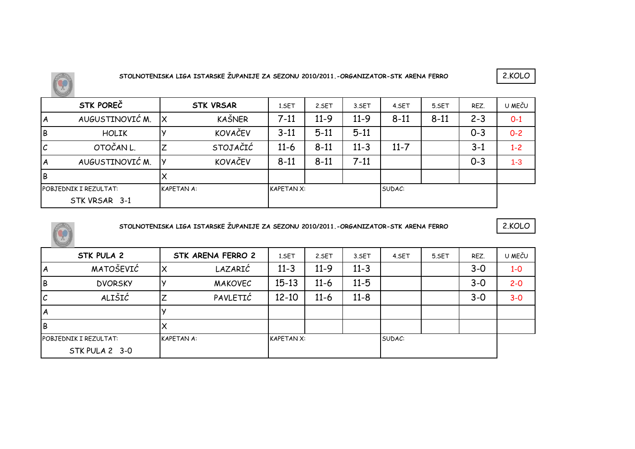

|    | STK POREČ             |                   | <b>STK VRSAR</b> | 1.SET             | 2.SET    | 3.SET    | 4.SET    | 5.SET    | REZ.    | U MEČU  |
|----|-----------------------|-------------------|------------------|-------------------|----------|----------|----------|----------|---------|---------|
| I٨ | AUGUSTINOVIĆ M.       | ΙX                | KAŠNER           | $7 - 11$          | $11-9$   | $11-9$   | $8 - 11$ | $8 - 11$ | $2 - 3$ | $0 - 1$ |
| İΒ | <b>HOLIK</b>          |                   | KOVAČEV          | $3 - 11$          | $5 - 11$ | $5 - 11$ |          |          | $O - 3$ | $O - 2$ |
| Iс | OTOČAN L.             |                   | STOJAČIĆ         | $11-6$            | $8 - 11$ | $11 - 3$ | $11 - 7$ |          | $3 - 1$ | $1 - 2$ |
| I٨ | AUGUSTINOVIĆ M.       |                   | KOVAČEV          | $8 - 11$          | $8 - 11$ | $7-11$   |          |          | $0 - 3$ | $1 - 3$ |
| İВ |                       |                   |                  |                   |          |          |          |          |         |         |
|    | POBJEDNIK I REZULTAT: | <b>KAPETAN A:</b> |                  | <b>KAPETAN X:</b> |          |          | SUDAC:   |          |         |         |
|    | STK VRSAR 3-1         |                   |                  |                   |          |          |          |          |         |         |



**STOLNOTENISKA LIGA ISTARSKE ŽUPANIJE ZA SEZONU 2010/2011.-ORGANIZATOR-STK ARENA FERRO**

|    | STK PULA 2                   |                   | STK ARENA FERRO 2 | 1.SET             | 2.SET    | 3.SET    | 4.SET  | 5.SET | REZ.    | U MEČU  |
|----|------------------------------|-------------------|-------------------|-------------------|----------|----------|--------|-------|---------|---------|
| ΙA | MATOŠEVIĆ                    | Х                 | LAZARIĆ           | $11 - 3$          | $11-9$   | $11 - 3$ |        |       | $3 - 0$ | $1-0$   |
| İΒ | <b>DVORSKY</b>               |                   | <b>MAKOVEC</b>    | $15 - 13$         | $11 - 6$ | $11 - 5$ |        |       | $3 - 0$ | $2 - 0$ |
| ΙC | ALIŠIĆ                       |                   | PAVLETIĆ          | $12 - 10$         | $11 - 6$ | $11 - 8$ |        |       | $3 - 0$ | $3-0$   |
| ΙA |                              |                   |                   |                   |          |          |        |       |         |         |
| IВ |                              |                   |                   |                   |          |          |        |       |         |         |
|    | <b>POBJEDNIK I REZULTAT:</b> | <b>KAPETAN A:</b> |                   | <b>KAPETAN X:</b> |          |          | SUDAC: |       |         |         |
|    | STK PULA 2 3-0               |                   |                   |                   |          |          |        |       |         |         |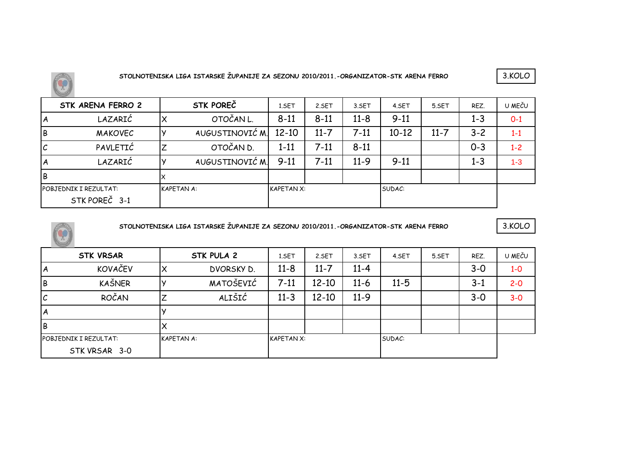

|    | STK ARENA FERRO 2                      | STK POREČ         | 1.SET             | 2.SET    | 3.SET    | 4.SET     | 5.SET    | REZ.    | U MEČU  |
|----|----------------------------------------|-------------------|-------------------|----------|----------|-----------|----------|---------|---------|
| ΙA | LAZARIĆ                                | OTOČAN L.         | $8 - 11$          | $8 - 11$ | $11 - 8$ | $9 - 11$  |          | $1 - 3$ | $0 - 1$ |
| IΒ | <b>MAKOVEC</b>                         | AUGUSTINOVIĆ M.   | $12 - 10$         | $11 - 7$ | $7 - 11$ | $10 - 12$ | $11 - 7$ | $3 - 2$ | $1 - 1$ |
| IС | PAVLETIĆ                               | OTOČAN D.         | $1 - 11$          | $7 - 11$ | $8 - 11$ |           |          | $0 - 3$ | $1 - 2$ |
| ΙA | LAZARIĆ                                | AUGUSTINOVIĆ M.   | $9 - 11$          | $7 - 11$ | $11-9$   | $9 - 11$  |          | $1 - 3$ | $1 - 3$ |
| İΒ |                                        |                   |                   |          |          |           |          |         |         |
|    | POBJEDNIK I REZULTAT:<br>STK POREČ 3-1 | <b>KAPETAN A:</b> | <b>KAPETAN X:</b> |          |          | SUDAC:    |          |         |         |



**STOLNOTENISKA LIGA ISTARSKE ŽUPANIJE ZA SEZONU 2010/2011.-ORGANIZATOR-STK ARENA FERRO**

|    | <b>STK VRSAR</b>             |                   | STK PULA 2 | 1.SET             | 2.SET     | 3.SET    | 4.SET    | 5.SET | REZ.    | U MEČU  |
|----|------------------------------|-------------------|------------|-------------------|-----------|----------|----------|-------|---------|---------|
| ΙA | <b>KOVAČEV</b>               |                   | DVORSKY D. | $11 - 8$          | $11 - 7$  | $11 - 4$ |          |       | $3 - 0$ | $1-0$   |
| lВ | KAŠNER                       |                   | MATOŠEVIĆ  | $7-11$            | $12 - 10$ | $11-6$   | $11 - 5$ |       | $3 - 1$ | $2 - 0$ |
| ΙC | ROČAN                        |                   | ALIŠIĆ     | $11 - 3$          | $12 - 10$ | $11-9$   |          |       | $3 - 0$ | $3-0$   |
| ΙA |                              |                   |            |                   |           |          |          |       |         |         |
| lВ |                              |                   |            |                   |           |          |          |       |         |         |
|    | <b>POBJEDNIK I REZULTAT:</b> | <b>KAPETAN A:</b> |            | <b>KAPETAN X:</b> |           |          | SUDAC:   |       |         |         |
|    | STK VRSAR 3-0                |                   |            |                   |           |          |          |       |         |         |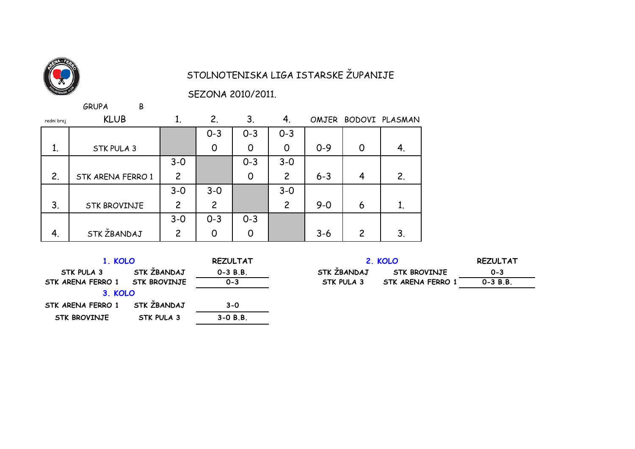

## STOLNOTENISKA LIGA ISTARSKE ŽUPANIJE

SEZONA 2010/2011.

 $GRUPA$ 

 $\, {\sf B}$ 

| redni broj | <b>KLUB</b>         |                | 2.             | 3.      | 4.             |         |                | OMJER BODOVI PLASMAN |
|------------|---------------------|----------------|----------------|---------|----------------|---------|----------------|----------------------|
|            |                     |                | $0 - 3$        | $0 - 3$ | $0 - 3$        |         |                |                      |
| 1.         | STK PULA 3          |                | $\overline{0}$ | 0       | 0              | $0 - 9$ | 0              | 4.                   |
|            |                     | $3 - 0$        |                | $0 - 3$ | $3 - 0$        |         |                |                      |
| 2.         | STK ARENA FERRO 1   | $\overline{c}$ |                | 0       | 2              | $6 - 3$ | 4              | 2.                   |
|            |                     | $3 - 0$        | $3-0$          |         | $3 - 0$        |         |                |                      |
| 3.         | <b>STK BROVINJE</b> | $\overline{c}$ | $\overline{c}$ |         | $\overline{c}$ | $9 - 0$ | 6              | 1.                   |
|            |                     | $3 - 0$        | $0 - 3$        | $0 - 3$ |                |         |                |                      |
| 4.         | STK ŽBANDAJ         | $\overline{c}$ |                | 0       |                | $3 - 6$ | $\overline{c}$ | 3.                   |

| KOLO |  |
|------|--|

| 1. KOLO                        | <b>REZULTAT</b>    |              |  |  |  |
|--------------------------------|--------------------|--------------|--|--|--|
| <b>STK PULA 3</b>              | STK ŽBANDAJ        | $0 - 3 B.B.$ |  |  |  |
| STK ARENA FERRO 1 STK BROVINJE |                    | $0 - 3$      |  |  |  |
| 3. KOLO                        |                    |              |  |  |  |
| STK ARENA FERRO 1              | <b>STK ŽBANDAJ</b> | $3 - 0$      |  |  |  |
| <b>STK BROVINJE</b>            | <b>STK PULA 3</b>  | $3-0 B.B.$   |  |  |  |

|   | <b>REZULTAT</b> | 2. KOLO     | <b>REZULTAT</b>     |              |
|---|-----------------|-------------|---------------------|--------------|
|   | $0 - 3 B.B.$    | STK ŽBANDAJ | <b>STK BROVINJE</b> | $0 - 3$      |
| Έ | $0 - 3$         | STK PULA 3  | STK ARENA FERRO 1   | $0 - 3 B.B.$ |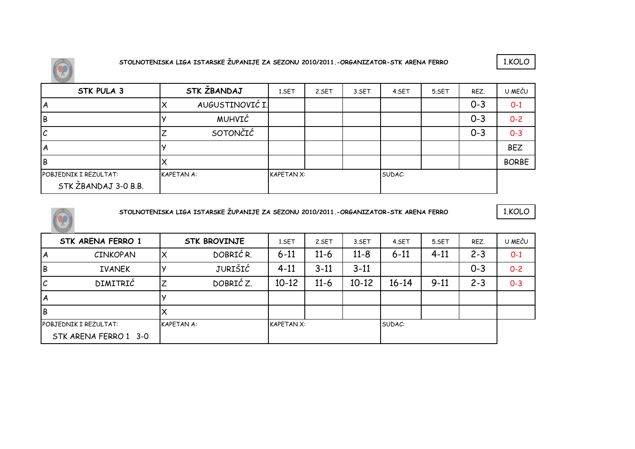



| STK PULA 3                                    |                   | STK ZBANDAJ     | 1.SET             | 2.SET | 3.SET | 4.SET  | 5.SET | REZ.    | U MEČU       |
|-----------------------------------------------|-------------------|-----------------|-------------------|-------|-------|--------|-------|---------|--------------|
| ΙA                                            |                   | AUGUSTINOVIĆ I. |                   |       |       |        |       | $O - 3$ | $0 - 1$      |
| ΙB                                            |                   | <b>MUHVIĆ</b>   |                   |       |       |        |       | $0 - 3$ | $0 - 2$      |
| ΙC                                            |                   | SOTONČIĆ        |                   |       |       |        |       | $O - 3$ | $0 - 3$      |
| ΙA                                            |                   |                 |                   |       |       |        |       |         | <b>BEZ</b>   |
| ΙB                                            |                   |                 |                   |       |       |        |       |         | <b>BORBE</b> |
| POBJEDNIK I REZULTAT:<br>STK ŽBANDAJ 3-0 B.B. | <b>KAPETAN A:</b> |                 | <b>KAPETAN X:</b> |       |       | SUDAC: |       |         |              |



 $\bigcirc$ 

**STOLNOTENISKA LIGA ISTARSKE ŽUPANIJE ZA SEZONU 2010/2011.-ORGANIZATOR-STK ARENA FERRO**

| <b>STK ARENA FERRO 1</b>     |                       | <b>STK BROVINJE</b> | 1.SET             | 2.SET    | 3.SET             | 4.SET     | 5.SET    | REZ.    | U MEČU  |
|------------------------------|-----------------------|---------------------|-------------------|----------|-------------------|-----------|----------|---------|---------|
| <b>CINKOPAN</b>              | X                     | DOBRIĆ R.           | $6 - 11$          | $11 - 6$ | $11 - 8$          | $6 - 11$  | $4 - 11$ | $2 - 3$ | $0 - 1$ |
| <b>IVANEK</b>                |                       | JURIŠIĆ             | $4 - 11$          | $3 - 11$ | $3 - 11$          |           |          | $0 - 3$ | $0 - 2$ |
| <b>DIMITRIĆ</b>              | 7<br>←                | DOBRIĆ Z.           | $10-12$           | $11 - 6$ | $10-12$           | $16 - 14$ | $9 - 11$ | $2 - 3$ | $0 - 3$ |
|                              |                       |                     |                   |          |                   |           |          |         |         |
|                              | Х                     |                     |                   |          |                   |           |          |         |         |
| <b>POBJEDNIK I REZULTAT:</b> |                       |                     |                   |          |                   | SUDAC:    |          |         |         |
|                              | STK ARENA FERRO 1 3-0 |                     | <b>KAPETAN A:</b> |          | <b>KAPETAN X:</b> |           |          |         |         |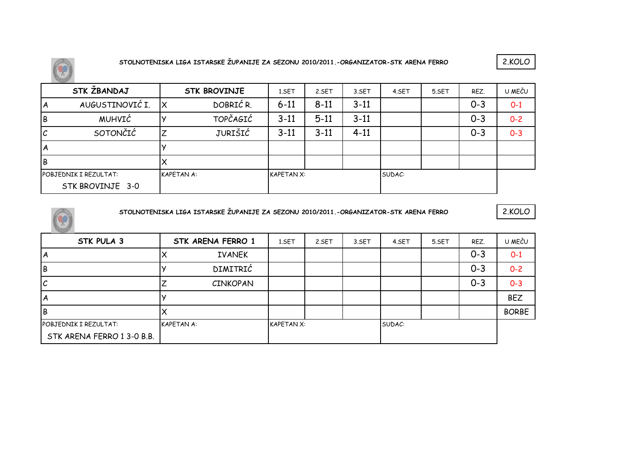$\circledR$ 

**STOLNOTENISKA LIGA ISTARSKE ŽUPANIJE ZA SEZONU 2010/2011.-ORGANIZATOR-STK ARENA FERRO**

2.KOLO

|    | STK ŽBANDAJ                  |                   | <b>STK BROVINJE</b> | 1.SET             | 2.SET    | 3.SET    | 4.SET  | 5.SET | REZ.    | U MEČU  |
|----|------------------------------|-------------------|---------------------|-------------------|----------|----------|--------|-------|---------|---------|
| A  | AUGUSTINOVIĆ I.              |                   | DOBRIĆ R.           | $6 - 11$          | $8 - 11$ | $3 - 11$ |        |       | $0 - 3$ | $0 - 1$ |
| Iв | MUHVIĆ                       |                   | <b>TOPČAGIĆ</b>     | $3 - 11$          | $5 - 11$ | $3 - 11$ |        |       | $0 - 3$ | $0 - 2$ |
| ΙC | SOTONČIĆ                     |                   | JURIŠIĆ             | $3 - 11$          | $3 - 11$ | $4 - 11$ |        |       | $O - 3$ | $0 - 3$ |
| ١A |                              |                   |                     |                   |          |          |        |       |         |         |
| lв |                              |                   |                     |                   |          |          |        |       |         |         |
|    | <b>POBJEDNIK I REZULTAT:</b> | <b>KAPETAN A:</b> |                     | <b>KAPETAN X:</b> |          |          | SUDAC: |       |         |         |
|    | STK BROVINJE 3-0             |                   |                     |                   |          |          |        |       |         |         |



**STOLNOTENISKA LIGA ISTARSKE ŽUPANIJE ZA SEZONU 2010/2011.-ORGANIZATOR-STK ARENA FERRO**

| STK PULA 3                 |                   | STK ARENA FERRO 1 | 1.SET             | 2.SET | 3.SET | 4.SET  | 5.SET | REZ.    | U MEČU       |
|----------------------------|-------------------|-------------------|-------------------|-------|-------|--------|-------|---------|--------------|
| ΙA                         |                   | <b>IVANEK</b>     |                   |       |       |        |       | $O - 3$ | $O-1$        |
| İΒ                         |                   | DIMITRIĆ          |                   |       |       |        |       | $0 - 3$ | $0 - 2$      |
| ΙC                         |                   | <b>CINKOPAN</b>   |                   |       |       |        |       | $0 - 3$ | $0 - 3$      |
| ΙA                         |                   |                   |                   |       |       |        |       |         | <b>BEZ</b>   |
| IΒ                         |                   |                   |                   |       |       |        |       |         | <b>BORBE</b> |
| POBJEDNIK I REZULTAT:      | <b>KAPETAN A:</b> |                   | <b>KAPETAN X:</b> |       |       | SUDAC: |       |         |              |
| STK ARENA FERRO 1 3-0 B.B. |                   |                   |                   |       |       |        |       |         |              |